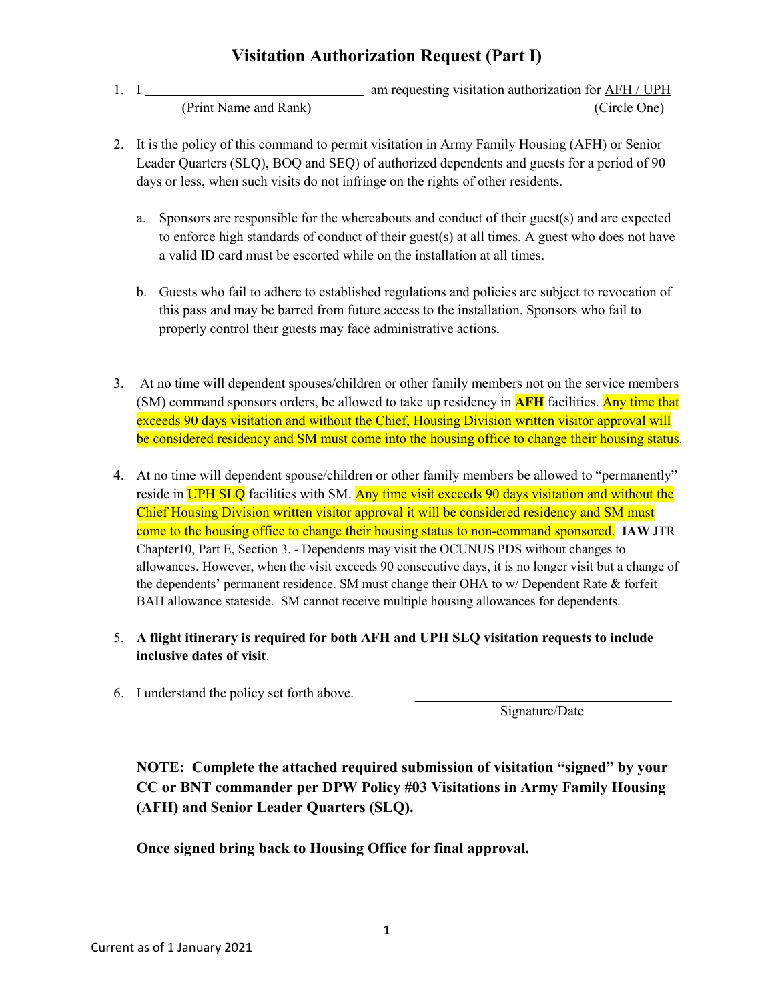## **Visitation Authorization Request (Part I)**

- 1. I am requesting visitation authorization for AFH / UPH (Print Name and Rank) (Circle One)
- 2. It is the policy of this command to permit visitation in Army Family Housing (AFH) or Senior Leader Quarters (SLQ), BOQ and SEQ) of authorized dependents and guests for a period of 90 days or less, when such visits do not infringe on the rights of other residents.
	- a. Sponsors are responsible for the whereabouts and conduct of their guest(s) and are expected to enforce high standards of conduct of their guest(s) at all times. A guest who does not have a valid ID card must be escorted while on the installation at all times.
	- b. Guests who fail to adhere to established regulations and policies are subject to revocation of this pass and may be barred from future access to the installation. Sponsors who fail to properly control their guests may face administrative actions.
- 3. At no time will dependent spouses/children or other family members not on the service members (SM) command sponsors orders, be allowed to take up residency in **AFH** facilities. Any time that exceeds 90 days visitation and without the Chief, Housing Division written visitor approval will be considered residency and SM must come into the housing office to change their housing status.
- 4. At no time will dependent spouse/children or other family members be allowed to "permanently" reside in UPH SLQ facilities with SM. Any time visit exceeds 90 days visitation and without the Chief Housing Division written visitor approval it will be considered residency and SM must come to the housing office to change their housing status to non-command sponsored. **IAW** JTR Chapter10, Part E, Section 3. - Dependents may visit the OCUNUS PDS without changes to allowances. However, when the visit exceeds 90 consecutive days, it is no longer visit but a change of the dependents' permanent residence. SM must change their OHA to w/ Dependent Rate & forfeit BAH allowance stateside. SM cannot receive multiple housing allowances for dependents.
- 5. **A flight itinerary is required for both AFH and UPH SLQ visitation requests to include inclusive dates of visit**.
- 6. I understand the policy set forth above.

Signature/Date

**NOTE: Complete the attached required submission of visitation "signed" by your CC or BNT commander per DPW Policy #03 Visitations in Army Family Housing (AFH) and Senior Leader Quarters (SLQ).**

**Once signed bring back to Housing Office for final approval.**